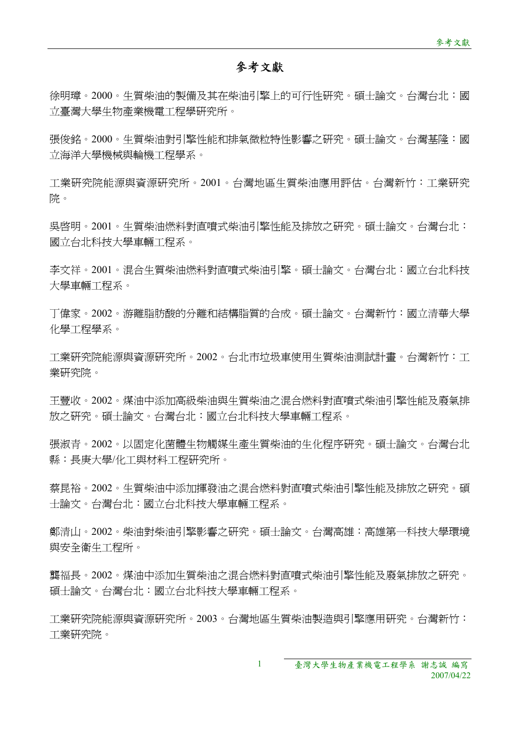## 參考文獻

徐明璋。2000。生質柴油的製備及其在柴油引擎上的可行性研究。碩士論文。台灣台北:國 立臺灣大學生物產業機電工程學研究所。

張俊銘。2000。牛質柴油對引擎性能和排氣微粒特性影響之研究。碩士論文。台灣基隆:國 立海洋大學機械與輪機工程學系。

工業研究院能源與資源研究所。2001。台灣地區生質柴油應用評估。台灣新竹:工業研究 院。

吳啟明。2001。生質柴油燃料對直噴式柴油引擎性能及排放之研究。碩士論文。台灣台北: 國立台北科技大學車輛工程系。

李文祥。2001。混合生質柴油燃料對直噴式柴油引擎。碩士論文。台灣台北:國立台北科技 大學車輛工程系。

丁偉家。2002。游離脂肪酸的分離和結構脂質的合成。碩士論文。台灣新竹:國立清華大學 化學工程學系。

工業研究院能源與資源研究所。2002。台北市垃圾車使用生質柴油測試計畫。台灣新竹:工 業研究院。

王豐收。2002。煤油中添加高級柴油與生質柴油之混合燃料對直噴式柴油引擎性能及廢氣排 放之研究。碩士論文。台灣台北:國立台北科技大學車輛工程系。

張淑青。2002。以固定化菌體生物觸媒生產生質柴油的生化程序研究。碩士論文。台灣台北 縣:長庚大學/化工與材料工程研究所。

蔡昆裕。2002。生質柴油中添加揮發油之混合燃料對直噴式柴油引擎性能及排放之研究。碩 士論文。台灣台北:國立台北科技大學車輛工程系。

鄭清山。2002。柴油對柴油引擎影響之研究。碩士論文。台灣高雄:高雄第一科技大學環境 與安全衛生工程所。

龔福長。2002。煤油中添加生質柴油之混合燃料對直噴式柴油引擎性能及廢氣排放之研究。 碩士論文。台灣台北:國立台北科技大學車輛工程系。

工業研究院能源與資源研究所。2003。台灣地區生質柴油製造與引擎應用研究。台灣新竹: 工業研究院。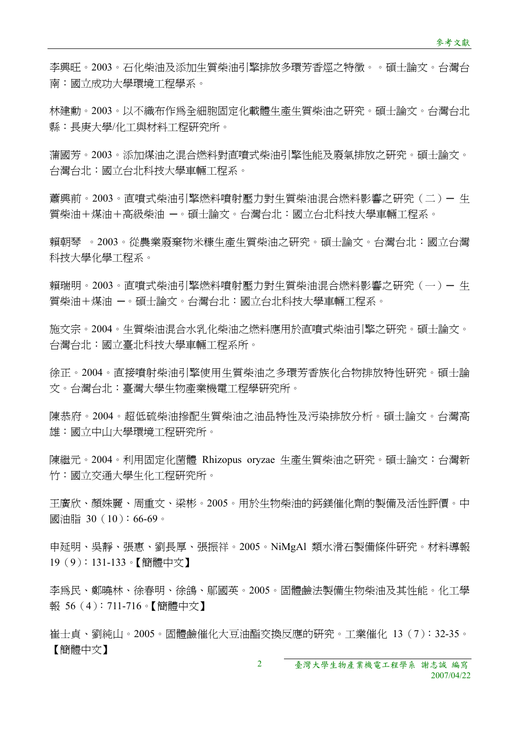李興旺。2003。石化柴油及添加生質柴油引擎排放多環芳香烴之特徵。。碩士論文。台灣台 南:國立成功大學環境工程學系。

林建勳。2003。以不織布作為全細胞固定化載體生產生質柴油之研究。碩士論文。台灣台北 縣:長庚大學/化工與材料工程研究所。

蒲國芳。2003。添加煤油之混合燃料對直噴式柴油引擎性能及廢氣排放之研究。碩士論文。 台灣台北:國立台北科技大學車輛工程系。

蕭興前。2003。直噴式柴油引擎燃料噴射壓力對生質柴油混合燃料影響之研究(二)— 生 質柴油+煤油+高級柴油 一。碩士論文。台灣台北:國立台北科技大學車輛工程系。

賴朝琴 。2003。從農業廢棄物米糠生產生質柴油之研究。碩士論文。台灣台北:國立台灣 科技大學化學工程系。

賴瑞明。2003。直噴式柴油引擎燃料噴射壓力對牛質柴油混合燃料影響之研究(一)— 牛 質柴油+煤油 ─。碩士論文。台灣台北:國立台北科技大學車輛工程系。

施文宗。2004。生質柴油混合水乳化柴油之燃料應用於直噴式柴油引擎之研究。碩士論文。 台灣台北:國立臺北科技大學車輛工程系所。

徐正。2004。直接噴射柴油引擎使用生質柴油之多環芳香族化合物排放特性研究。碩士論 文。台灣台北:臺灣大學生物產業機電工程學研究所。

陳恭府。2004。超低硫柴油摻配生質柴油之油品特性及污染排放分析。碩士論文。台灣高 雄:國立中山大學環境工程研究所。

陳繼元。2004。利用固定化菌體 Rhizopus oryzae 生產生質柴油之研究。碩士論文:台灣新 竹:國立交通大學生化工程研究所。

王廣欣、顏姝麗、周重文、梁彬。2005。用於生物柴油的鈣鎂催化劑的製備及活性評價。中 國油脂 30 (10):66-69。

申延明、吳靜、張惠、劉長厚、張振祥。2005。NiMgAl 類水滑石製備條件研究。材料導報 19(9):131-133。【簡體中文】

李為民、鄭曉林、徐春明、徐鴿、鄔國英。2005。固體鹼法製備生物柴油及其性能。化工學 報 56(4):711-716。【簡體中文】

崔士貞、劉純山。2005。固體鹼催化大豆油酯交換反應的研究。工業催化 13(7):32-35。 【簡體中文】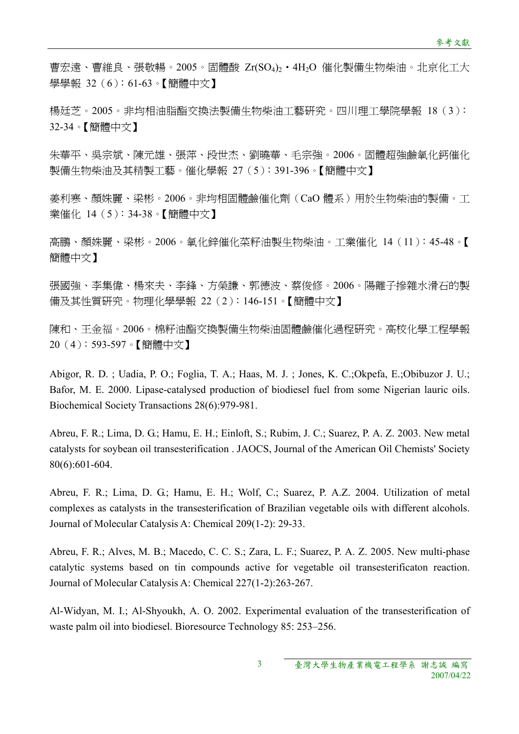曹宏遠、曹維良、張敬暢。2005。固體酸 Zr(SO4)2‧4H2O 催化製備生物柴油。北京化工大 學學報 32(6):61-63。【簡體中文】

楊廷芝。2005。非均相油脂酯交換法製備生物柴油工藝研究。四川理工學院學報 18(3): 32-34。【簡體中文】

朱華平、吳宗斌、陳元雄、張萍、段世杰、劉曉華、毛宗強。2006。固體超強鹼氧化鈣催化 製備生物柴油及其精製工藝。催化學報 27(5):391-396。【簡體中文】

姜利寒、顏姝麗、梁彬。2006。非均相固體鹼催化劑(CaO 體系)用於生物柴油的製備。工 業催化 14(5):34-38。【簡體中文】

高鵬、顏姝麗、梁彬。2006。氧化鋅催化菜籽油製生物柴油。工業催化 14(11):45-48。【 簡體中文】

張國強、李集偉、楊來夫、李鋒、方榮謙、郭德波、蔡俊修。2006。陽離子摻雜水滑石的製 備及其性質研究。物理化學學報 22(2):146-151。【簡體中文】

陳和、王金福。2006。棉籽油酯交換製備生物柴油固體鹼催化過程研究。高校化學工程學報 20(4):593-597。【簡體中文】

Abigor, R. D. ; Uadia, P. O.; Foglia, T. A.; Haas, M. J. ; Jones, K. C.;Okpefa, E.;Obibuzor J. U.; Bafor, M. E. 2000. Lipase-catalysed production of biodiesel fuel from some Nigerian lauric oils. Biochemical Society Transactions 28(6):979-981.

Abreu, F. R.; Lima, D. G.; Hamu, E. H.; Einloft, S.; Rubim, J. C.; Suarez, P. A. Z. 2003. New metal catalysts for soybean oil transesterification . JAOCS, Journal of the American Oil Chemists' Society 80(6):601-604.

Abreu, F. R.; Lima, D. G.; Hamu, E. H.; Wolf, C.; Suarez, P. A.Z. 2004. Utilization of metal complexes as catalysts in the transesterification of Brazilian vegetable oils with different alcohols. Journal of Molecular Catalysis A: Chemical 209(1-2): 29-33.

Abreu, F. R.; Alves, M. B.; Macedo, C. C. S.; Zara, L. F.; Suarez, P. A. Z. 2005. New multi-phase catalytic systems based on tin compounds active for vegetable oil transesterificaton reaction. Journal of Molecular Catalysis A: Chemical 227(1-2):263-267.

Al-Widyan, M. I.; Al-Shyoukh, A. O. 2002. Experimental evaluation of the transesterification of waste palm oil into biodiesel. Bioresource Technology 85: 253–256.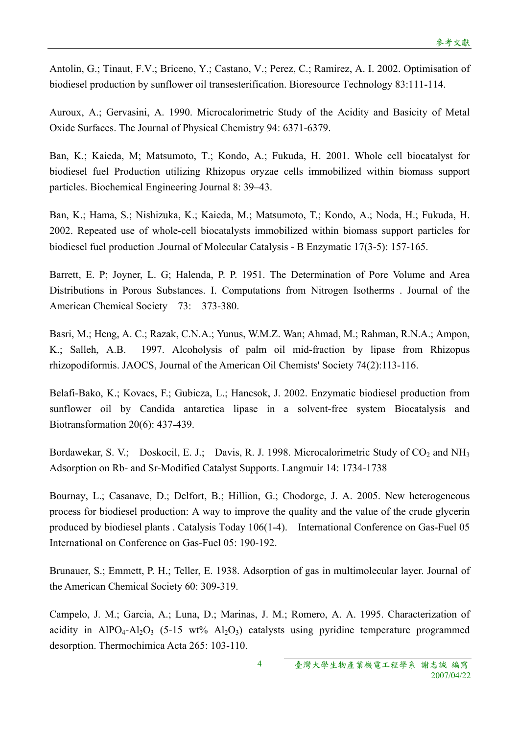Antolin, G.; Tinaut, F.V.; Briceno, Y.; Castano, V.; Perez, C.; Ramirez, A. I. 2002. Optimisation of biodiesel production by sunflower oil transesterification. Bioresource Technology 83:111-114.

Auroux, A.; Gervasini, A. 1990. Microcalorimetric Study of the Acidity and Basicity of Metal Oxide Surfaces. The Journal of Physical Chemistry 94: 6371-6379.

Ban, K.; Kaieda, M; Matsumoto, T.; Kondo, A.; Fukuda, H. 2001. Whole cell biocatalyst for biodiesel fuel Production utilizing Rhizopus oryzae cells immobilized within biomass support particles. Biochemical Engineering Journal 8: 39–43.

Ban, K.; Hama, S.; Nishizuka, K.; Kaieda, M.; Matsumoto, T.; Kondo, A.; Noda, H.; Fukuda, H. 2002. Repeated use of whole-cell biocatalysts immobilized within biomass support particles for biodiesel fuel production .Journal of Molecular Catalysis - B Enzymatic 17(3-5): 157-165.

Barrett, E. P; Joyner, L. G; Halenda, P. P. 1951. The Determination of Pore Volume and Area Distributions in Porous Substances. I. Computations from Nitrogen Isotherms . Journal of the American Chemical Society 73: 373-380.

Basri, M.; Heng, A. C.; Razak, C.N.A.; Yunus, W.M.Z. Wan; Ahmad, M.; Rahman, R.N.A.; Ampon, K.; Salleh, A.B. 1997. Alcoholysis of palm oil mid-fraction by lipase from Rhizopus rhizopodiformis. JAOCS, Journal of the American Oil Chemists' Society 74(2):113-116.

Belafi-Bako, K.; Kovacs, F.; Gubicza, L.; Hancsok, J. 2002. Enzymatic biodiesel production from sunflower oil by Candida antarctica lipase in a solvent-free system Biocatalysis and Biotransformation 20(6): 437-439.

Bordawekar, S. V.; Doskocil, E. J.; Davis, R. J. 1998. Microcalorimetric Study of  $CO_2$  and NH<sub>3</sub> Adsorption on Rb- and Sr-Modified Catalyst Supports. Langmuir 14: 1734-1738

Bournay, L.; Casanave, D.; Delfort, B.; Hillion, G.; Chodorge, J. A. 2005. New heterogeneous process for biodiesel production: A way to improve the quality and the value of the crude glycerin produced by biodiesel plants . Catalysis Today 106(1-4). International Conference on Gas-Fuel 05 International on Conference on Gas-Fuel 05: 190-192.

Brunauer, S.; Emmett, P. H.; Teller, E. 1938. Adsorption of gas in multimolecular layer. Journal of the American Chemical Society 60: 309-319.

Campelo, J. M.; Garcia, A.; Luna, D.; Marinas, J. M.; Romero, A. A. 1995. Characterization of acidity in AlPO<sub>4</sub>-Al<sub>2</sub>O<sub>3</sub> (5-15 wt% Al<sub>2</sub>O<sub>3</sub>) catalysts using pyridine temperature programmed desorption. Thermochimica Acta 265: 103-110.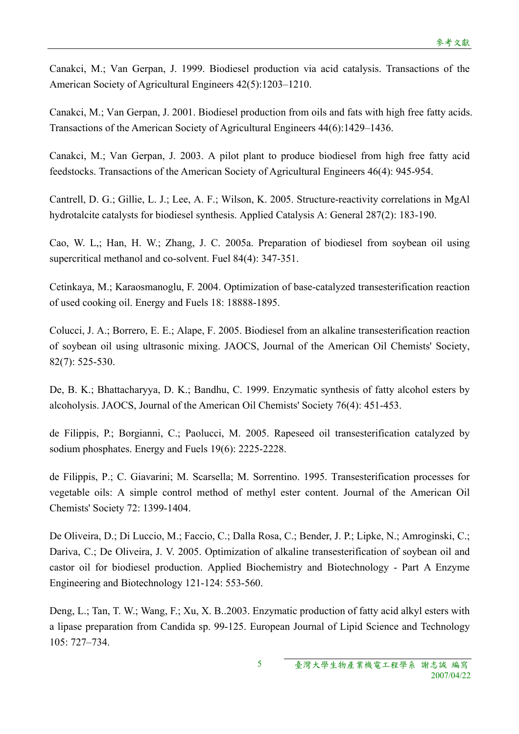Canakci, M.; Van Gerpan, J. 1999. Biodiesel production via acid catalysis. Transactions of the American Society of Agricultural Engineers 42(5):1203–1210.

Canakci, M.; Van Gerpan, J. 2001. Biodiesel production from oils and fats with high free fatty acids. Transactions of the American Society of Agricultural Engineers 44(6):1429–1436.

Canakci, M.; Van Gerpan, J. 2003. A pilot plant to produce biodiesel from high free fatty acid feedstocks. Transactions of the American Society of Agricultural Engineers 46(4): 945-954.

Cantrell, D. G.; Gillie, L. J.; Lee, A. F.; Wilson, K. 2005. Structure-reactivity correlations in MgAl hydrotalcite catalysts for biodiesel synthesis. Applied Catalysis A: General 287(2): 183-190.

Cao, W. L,; Han, H. W.; Zhang, J. C. 2005a. Preparation of biodiesel from soybean oil using supercritical methanol and co-solvent. Fuel 84(4): 347-351.

Cetinkaya, M.; Karaosmanoglu, F. 2004. Optimization of base-catalyzed transesterification reaction of used cooking oil. Energy and Fuels 18: 18888-1895.

Colucci, J. A.; Borrero, E. E.; Alape, F. 2005. Biodiesel from an alkaline transesterification reaction of soybean oil using ultrasonic mixing. JAOCS, Journal of the American Oil Chemists' Society, 82(7): 525-530.

De, B. K.; Bhattacharyya, D. K.; Bandhu, C. 1999. Enzymatic synthesis of fatty alcohol esters by alcoholysis. JAOCS, Journal of the American Oil Chemists' Society 76(4): 451-453.

de Filippis, P.; Borgianni, C.; Paolucci, M. 2005. Rapeseed oil transesterification catalyzed by sodium phosphates. Energy and Fuels 19(6): 2225-2228.

de Filippis, P.; C. Giavarini; M. Scarsella; M. Sorrentino. 1995. Transesterification processes for vegetable oils: A simple control method of methyl ester content. Journal of the American Oil Chemists' Society 72: 1399-1404.

De Oliveira, D.; Di Luccio, M.; Faccio, C.; Dalla Rosa, C.; Bender, J. P.; Lipke, N.; Amroginski, C.; Dariva, C.; De Oliveira, J. V. 2005. Optimization of alkaline transesterification of soybean oil and castor oil for biodiesel production. Applied Biochemistry and Biotechnology - Part A Enzyme Engineering and Biotechnology 121-124: 553-560.

Deng, L.; Tan, T. W.; Wang, F.; Xu, X. B..2003. Enzymatic production of fatty acid alkyl esters with a lipase preparation from Candida sp. 99-125. European Journal of Lipid Science and Technology 105: 727–734.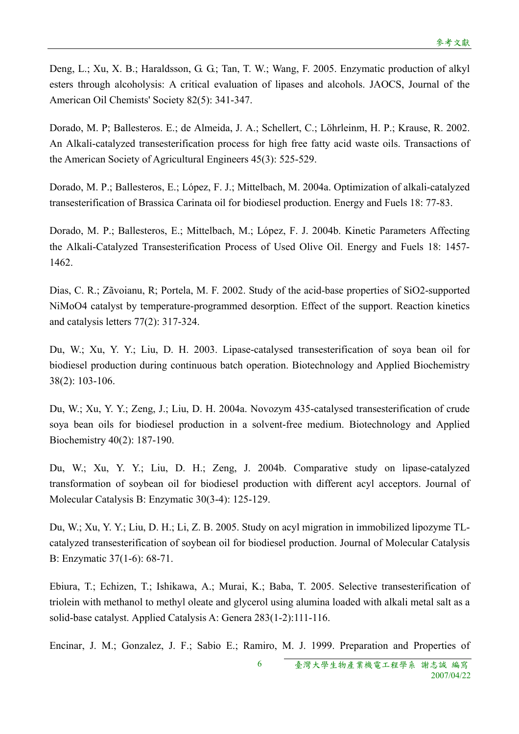Deng, L.; Xu, X. B.; Haraldsson, G. G.; Tan, T. W.; Wang, F. 2005. Enzymatic production of alkyl esters through alcoholysis: A critical evaluation of lipases and alcohols. JAOCS, Journal of the American Oil Chemists' Society 82(5): 341-347.

Dorado, M. P; Ballesteros. E.; de Almeida, J. A.; Schellert, C.; Löhrleinm, H. P.; Krause, R. 2002. An Alkali-catalyzed transesterification process for high free fatty acid waste oils. Transactions of the American Society of Agricultural Engineers 45(3): 525-529.

Dorado, M. P.; Ballesteros, E.; López, F. J.; Mittelbach, M. 2004a. Optimization of alkali-catalyzed transesterification of Brassica Carinata oil for biodiesel production. Energy and Fuels 18: 77-83.

Dorado, M. P.; Ballesteros, E.; Mittelbach, M.; López, F. J. 2004b. Kinetic Parameters Affecting the Alkali-Catalyzed Transesterification Process of Used Olive Oil. Energy and Fuels 18: 1457- 1462.

Dias, C. R.; Zãvoianu, R; Portela, M. F. 2002. Study of the acid-base properties of SiO2-supported NiMoO4 catalyst by temperature-programmed desorption. Effect of the support. Reaction kinetics and catalysis letters 77(2): 317-324.

Du, W.; Xu, Y. Y.; Liu, D. H. 2003. Lipase-catalysed transesterification of soya bean oil for biodiesel production during continuous batch operation. Biotechnology and Applied Biochemistry 38(2): 103-106.

Du, W.; Xu, Y. Y.; Zeng, J.; Liu, D. H. 2004a. Novozym 435-catalysed transesterification of crude soya bean oils for biodiesel production in a solvent-free medium. Biotechnology and Applied Biochemistry 40(2): 187-190.

Du, W.; Xu, Y. Y.; Liu, D. H.; Zeng, J. 2004b. Comparative study on lipase-catalyzed transformation of soybean oil for biodiesel production with different acyl acceptors. Journal of Molecular Catalysis B: Enzymatic 30(3-4): 125-129.

Du, W.; Xu, Y. Y.; Liu, D. H.; Li, Z. B. 2005. Study on acyl migration in immobilized lipozyme TLcatalyzed transesterification of soybean oil for biodiesel production. Journal of Molecular Catalysis B: Enzymatic 37(1-6): 68-71.

Ebiura, T.; Echizen, T.; Ishikawa, A.; Murai, K.; Baba, T. 2005. Selective transesterification of triolein with methanol to methyl oleate and glycerol using alumina loaded with alkali metal salt as a solid-base catalyst. Applied Catalysis A: Genera 283(1-2):111-116.

6 Encinar, J. M.; Gonzalez, J. F.; Sabio E.; Ramiro, M. J. 1999. Preparation and Properties of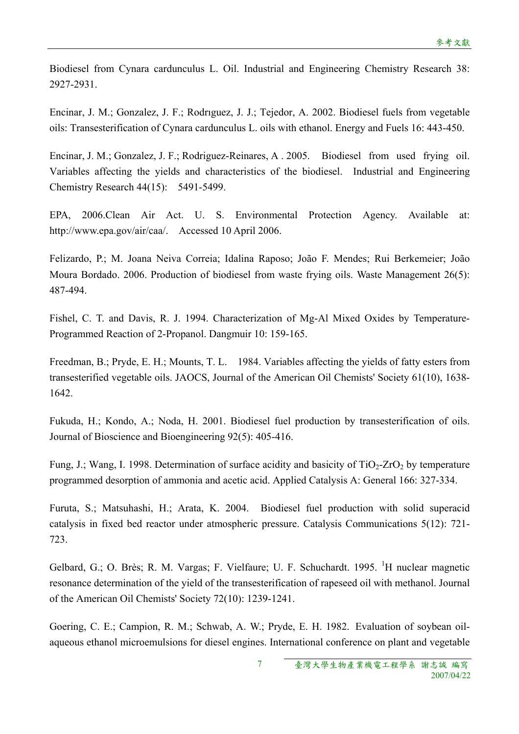Biodiesel from Cynara cardunculus L. Oil. Industrial and Engineering Chemistry Research 38: 2927-2931.

Encinar, J. M.; Gonzalez, J. F.; Rodrıguez, J. J.; Tejedor, A. 2002. Biodiesel fuels from vegetable oils: Transesterification of Cynara cardunculus L. oils with ethanol. Energy and Fuels 16: 443-450.

Encinar, J. M.; Gonzalez, J. F.; Rodriguez-Reinares, A . 2005. Biodiesel from used frying oil. Variables affecting the yields and characteristics of the biodiesel. Industrial and Engineering Chemistry Research 44(15): 5491-5499.

EPA, 2006.Clean Air Act. U. S. Environmental Protection Agency. Available at: http://www.epa.gov/air/caa/. Accessed 10 April 2006.

Felizardo, P.; M. Joana Neiva Correia; Idalina Raposo; João F. Mendes; Rui Berkemeier; João Moura Bordado. 2006. Production of biodiesel from waste frying oils. Waste Management 26(5): 487-494.

Fishel, C. T. and Davis, R. J. 1994. Characterization of Mg-Al Mixed Oxides by Temperature-Programmed Reaction of 2-Propanol. Dangmuir 10: 159-165.

Freedman, B.; Pryde, E. H.; Mounts, T. L. 1984. Variables affecting the yields of fatty esters from transesterified vegetable oils. JAOCS, Journal of the American Oil Chemists' Society 61(10), 1638- 1642.

Fukuda, H.; Kondo, A.; Noda, H. 2001. Biodiesel fuel production by transesterification of oils. Journal of Bioscience and Bioengineering 92(5): 405-416.

Fung, J.; Wang, I. 1998. Determination of surface acidity and basicity of  $TiO<sub>2</sub>-ZrO<sub>2</sub>$  by temperature programmed desorption of ammonia and acetic acid. Applied Catalysis A: General 166: 327-334.

Furuta, S.; Matsuhashi, H.; Arata, K. 2004. Biodiesel fuel production with solid superacid catalysis in fixed bed reactor under atmospheric pressure. Catalysis Communications 5(12): 721- 723.

Gelbard, G.; O. Brès; R. M. Vargas; F. Vielfaure; U. F. Schuchardt. 1995. <sup>1</sup>H nuclear magnetic resonance determination of the yield of the transesterification of rapeseed oil with methanol. Journal of the American Oil Chemists' Society 72(10): 1239-1241.

Goering, C. E.; Campion, R. M.; Schwab, A. W.; Pryde, E. H. 1982. Evaluation of soybean oilaqueous ethanol microemulsions for diesel engines. International conference on plant and vegetable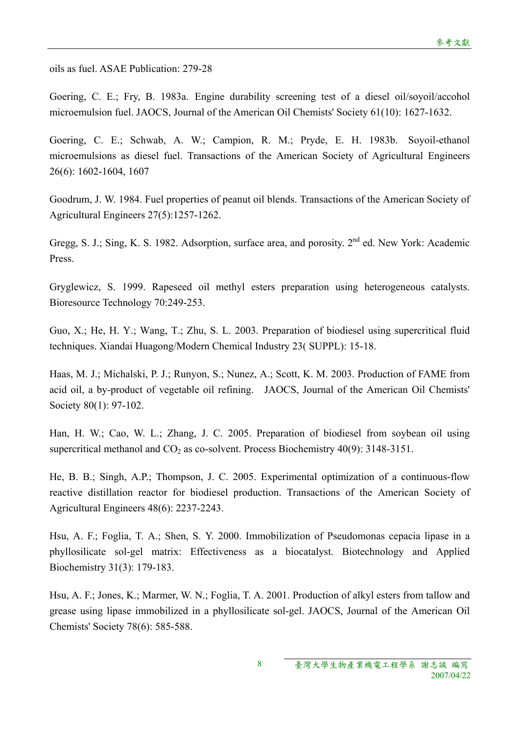oils as fuel. ASAE Publication: 279-28

Goering, C. E.; Fry, B. 1983a. Engine durability screening test of a diesel oil/soyoil/accohol microemulsion fuel. JAOCS, Journal of the American Oil Chemists' Society 61(10): 1627-1632.

Goering, C. E.; Schwab, A. W.; Campion, R. M.; Pryde, E. H. 1983b. Soyoil-ethanol microemulsions as diesel fuel. Transactions of the American Society of Agricultural Engineers 26(6): 1602-1604, 1607

Goodrum, J. W. 1984. Fuel properties of peanut oil blends. Transactions of the American Society of Agricultural Engineers 27(5):1257-1262.

Gregg, S. J.; Sing, K. S. 1982. Adsorption, surface area, and porosity. 2<sup>nd</sup> ed. New York: Academic Press.

Gryglewicz, S. 1999. Rapeseed oil methyl esters preparation using heterogeneous catalysts. Bioresource Technology 70:249-253.

Guo, X.; He, H. Y.; Wang, T.; Zhu, S. L. 2003. Preparation of biodiesel using supercritical fluid techniques. Xiandai Huagong/Modern Chemical Industry 23( SUPPL): 15-18.

Haas, M. J.; Michalski, P. J.; Runyon, S.; Nunez, A.; Scott, K. M. 2003. Production of FAME from acid oil, a by-product of vegetable oil refining. JAOCS, Journal of the American Oil Chemists' Society 80(1): 97-102.

Han, H. W.; Cao, W. L.; Zhang, J. C. 2005. Preparation of biodiesel from soybean oil using supercritical methanol and  $CO<sub>2</sub>$  as co-solvent. Process Biochemistry 40(9): 3148-3151.

He, B. B.; Singh, A.P.; Thompson, J. C. 2005. Experimental optimization of a continuous-flow reactive distillation reactor for biodiesel production. Transactions of the American Society of Agricultural Engineers 48(6): 2237-2243.

Hsu, A. F.; Foglia, T. A.; Shen, S. Y. 2000. Immobilization of Pseudomonas cepacia lipase in a phyllosilicate sol-gel matrix: Effectiveness as a biocatalyst. Biotechnology and Applied Biochemistry 31(3): 179-183.

Hsu, A. F.; Jones, K.; Marmer, W. N.; Foglia, T. A. 2001. Production of alkyl esters from tallow and grease using lipase immobilized in a phyllosilicate sol-gel. JAOCS, Journal of the American Oil Chemists' Society 78(6): 585-588.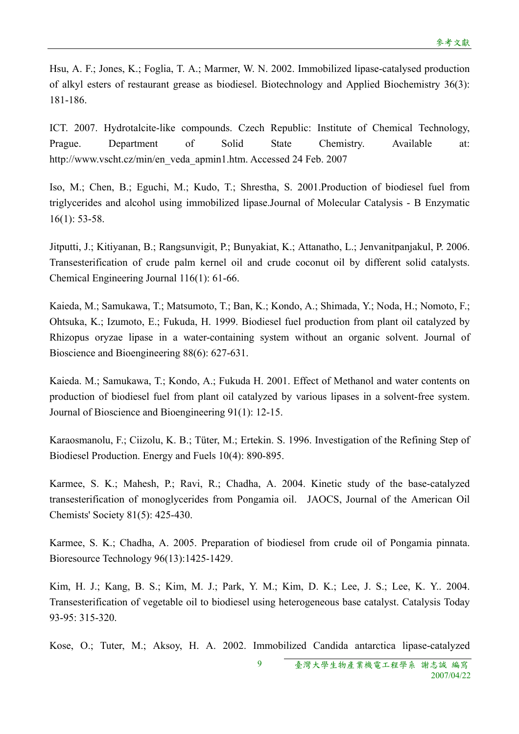Hsu, A. F.; Jones, K.; Foglia, T. A.; Marmer, W. N. 2002. Immobilized lipase-catalysed production of alkyl esters of restaurant grease as biodiesel. Biotechnology and Applied Biochemistry 36(3): 181-186.

ICT. 2007. Hydrotalcite-like compounds. Czech Republic: Institute of Chemical Technology, Prague. Department of Solid State Chemistry. Available at: http://www.vscht.cz/min/en\_veda\_apmin1.htm. Accessed 24 Feb. 2007

Iso, M.; Chen, B.; Eguchi, M.; Kudo, T.; Shrestha, S. 2001.Production of biodiesel fuel from triglycerides and alcohol using immobilized lipase.Journal of Molecular Catalysis - B Enzymatic 16(1): 53-58.

Jitputti, J.; Kitiyanan, B.; Rangsunvigit, P.; Bunyakiat, K.; Attanatho, L.; Jenvanitpanjakul, P. 2006. Transesterification of crude palm kernel oil and crude coconut oil by different solid catalysts. Chemical Engineering Journal 116(1): 61-66.

Kaieda, M.; Samukawa, T.; Matsumoto, T.; Ban, K.; Kondo, A.; Shimada, Y.; Noda, H.; Nomoto, F.; Ohtsuka, K.; Izumoto, E.; Fukuda, H. 1999. Biodiesel fuel production from plant oil catalyzed by Rhizopus oryzae lipase in a water-containing system without an organic solvent. Journal of Bioscience and Bioengineering 88(6): 627-631.

Kaieda. M.; Samukawa, T.; Kondo, A.; Fukuda H. 2001. Effect of Methanol and water contents on production of biodiesel fuel from plant oil catalyzed by various lipases in a solvent-free system. Journal of Bioscience and Bioengineering 91(1): 12-15.

Karaosmanolu, F.; Ciizolu, K. B.; Tüter, M.; Ertekin. S. 1996. Investigation of the Refining Step of Biodiesel Production. Energy and Fuels 10(4): 890-895.

Karmee, S. K.; Mahesh, P.; Ravi, R.; Chadha, A. 2004. Kinetic study of the base-catalyzed transesterification of monoglycerides from Pongamia oil. JAOCS, Journal of the American Oil Chemists' Society 81(5): 425-430.

Karmee, S. K.; Chadha, A. 2005. Preparation of biodiesel from crude oil of Pongamia pinnata. Bioresource Technology 96(13):1425-1429.

Kim, H. J.; Kang, B. S.; Kim, M. J.; Park, Y. M.; Kim, D. K.; Lee, J. S.; Lee, K. Y.. 2004. Transesterification of vegetable oil to biodiesel using heterogeneous base catalyst. Catalysis Today 93-95: 315-320.

Kose, O.; Tuter, M.; Aksoy, H. A. 2002. Immobilized Candida antarctica lipase-catalyzed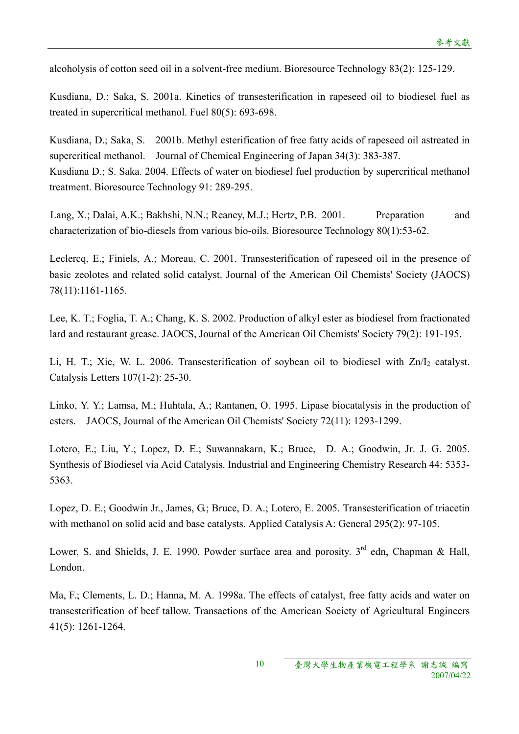alcoholysis of cotton seed oil in a solvent-free medium. Bioresource Technology 83(2): 125-129.

Kusdiana, D.; Saka, S. 2001a. Kinetics of transesterification in rapeseed oil to biodiesel fuel as treated in supercritical methanol. Fuel 80(5): 693-698.

Kusdiana, D.; Saka, S. 2001b. Methyl esterification of free fatty acids of rapeseed oil astreated in supercritical methanol. Journal of Chemical Engineering of Japan 34(3): 383-387. Kusdiana D.; S. Saka. 2004. Effects of water on biodiesel fuel production by supercritical methanol treatment. Bioresource Technology 91: 289-295.

Lang, X.; Dalai, A.K.; Bakhshi, N.N.; Reaney, M.J.; Hertz, P.B. 2001. Preparation and characterization of bio-diesels from various bio-oils. Bioresource Technology 80(1):53-62.

Leclercq, E.; Finiels, A.; Moreau, C. 2001. Transesterification of rapeseed oil in the presence of basic zeolotes and related solid catalyst. Journal of the American Oil Chemists' Society (JAOCS) 78(11):1161-1165.

Lee, K. T.; Foglia, T. A.; Chang, K. S. 2002. Production of alkyl ester as biodiesel from fractionated lard and restaurant grease. JAOCS, Journal of the American Oil Chemists' Society 79(2): 191-195.

Li, H. T.; Xie, W. L. 2006. Transesterification of soybean oil to biodiesel with  $Zn/I_2$  catalyst. Catalysis Letters 107(1-2): 25-30.

Linko, Y. Y.; Lamsa, M.; Huhtala, A.; Rantanen, O. 1995. Lipase biocatalysis in the production of esters. JAOCS, Journal of the American Oil Chemists' Society 72(11): 1293-1299.

Lotero, E.; Liu, Y.; Lopez, D. E.; Suwannakarn, K.; Bruce, D. A.; Goodwin, Jr. J. G. 2005. Synthesis of Biodiesel via Acid Catalysis. Industrial and Engineering Chemistry Research 44: 5353- 5363.

Lopez, D. E.; Goodwin Jr., James, G.; Bruce, D. A.; Lotero, E. 2005. Transesterification of triacetin with methanol on solid acid and base catalysts. Applied Catalysis A: General 295(2): 97-105.

Lower, S. and Shields, J. E. 1990. Powder surface area and porosity.  $3<sup>rd</sup>$  edn, Chapman & Hall, London.

Ma, F.; Clements, L. D.; Hanna, M. A. 1998a. The effects of catalyst, free fatty acids and water on transesterification of beef tallow. Transactions of the American Society of Agricultural Engineers 41(5): 1261-1264.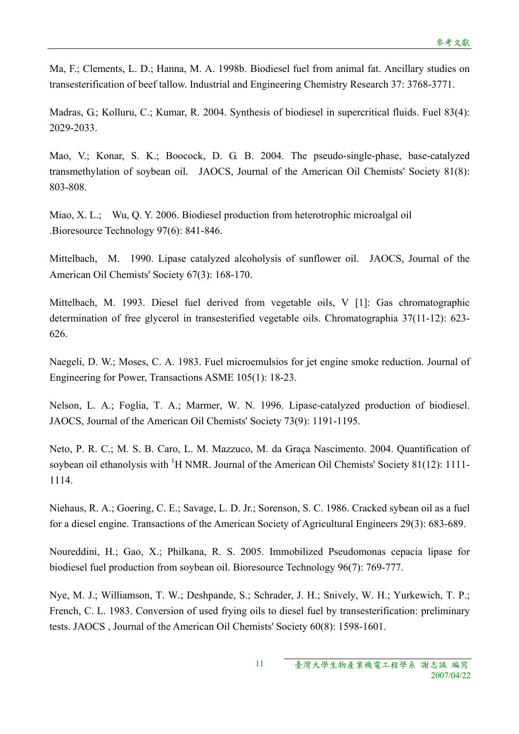Ma, F.; Clements, L. D.; Hanna, M. A. 1998b. Biodiesel fuel from animal fat. Ancillary studies on transesterification of beef tallow. Industrial and Engineering Chemistry Research 37: 3768-3771.

Madras, G.; Kolluru, C.; Kumar, R. 2004. Synthesis of biodiesel in supercritical fluids. Fuel 83(4): 2029-2033.

Mao, V.; Konar, S. K.; Boocock, D. G. B. 2004. The pseudo-single-phase, base-catalyzed transmethylation of soybean oil. JAOCS, Journal of the American Oil Chemists' Society 81(8): 803-808.

Miao, X. L.; Wu, Q. Y. 2006. Biodiesel production from heterotrophic microalgal oil .Bioresource Technology 97(6): 841-846.

Mittelbach, M. 1990. Lipase catalyzed alcoholysis of sunflower oil. JAOCS, Journal of the American Oil Chemists' Society 67(3): 168-170.

Mittelbach, M. 1993. Diesel fuel derived from vegetable oils, V [1]: Gas chromatographic determination of free glycerol in transesterified vegetable oils. Chromatographia 37(11-12): 623- 626.

Naegeli, D. W.; Moses, C. A. 1983. Fuel microemulsios for jet engine smoke reduction. Journal of Engineering for Power, Transactions ASME 105(1): 18-23.

Nelson, L. A.; Foglia, T. A.; Marmer, W. N. 1996. Lipase-catalyzed production of biodiesel. JAOCS, Journal of the American Oil Chemists' Society 73(9): 1191-1195.

Neto, P. R. C.; M. S. B. Caro, L. M. Mazzuco, M. da Graça Nascimento. 2004. Quantification of soybean oil ethanolysis with <sup>1</sup>H NMR. Journal of the American Oil Chemists' Society 81(12): 1111-1114.

Niehaus, R. A.; Goering, C. E.; Savage, L. D. Jr.; Sorenson, S. C. 1986. Cracked sybean oil as a fuel for a diesel engine. Transactions of the American Society of Agricultural Engineers 29(3): 683-689.

Noureddini, H.; Gao, X.; Philkana, R. S. 2005. Immobilized Pseudomonas cepacia lipase for biodiesel fuel production from soybean oil. Bioresource Technology 96(7): 769-777.

Nye, M. J.; Williamson, T. W.; Deshpande, S.; Schrader, J. H.; Snively, W. H.; Yurkewich, T. P.; French, C. L. 1983. Conversion of used frying oils to diesel fuel by transesterification: preliminary tests. JAOCS , Journal of the American Oil Chemists' Society 60(8): 1598-1601.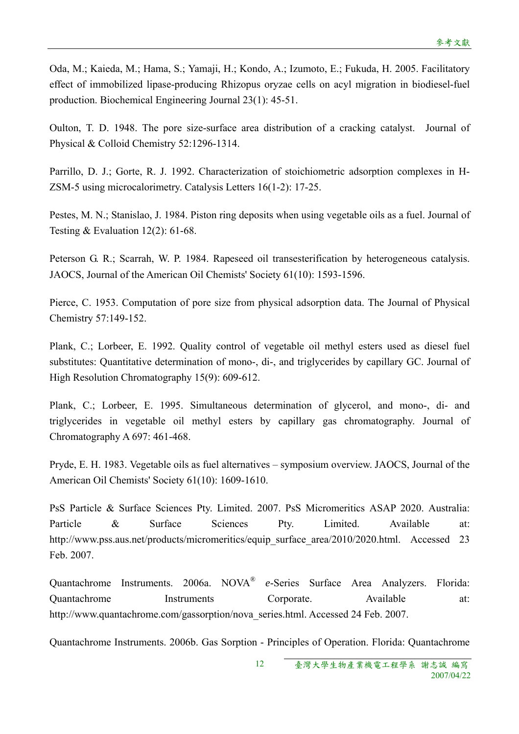Oda, M.; Kaieda, M.; Hama, S.; Yamaji, H.; Kondo, A.; Izumoto, E.; Fukuda, H. 2005. Facilitatory effect of immobilized lipase-producing Rhizopus oryzae cells on acyl migration in biodiesel-fuel production. Biochemical Engineering Journal 23(1): 45-51.

Oulton, T. D. 1948. The pore size-surface area distribution of a cracking catalyst. Journal of Physical & Colloid Chemistry 52:1296-1314.

Parrillo, D. J.; Gorte, R. J. 1992. Characterization of stoichiometric adsorption complexes in H-ZSM-5 using microcalorimetry. Catalysis Letters 16(1-2): 17-25.

Pestes, M. N.; Stanislao, J. 1984. Piston ring deposits when using vegetable oils as a fuel. Journal of Testing  $& Evaluation 12(2): 61-68.$ 

Peterson G. R.; Scarrah, W. P. 1984. Rapeseed oil transesterification by heterogeneous catalysis. JAOCS, Journal of the American Oil Chemists' Society 61(10): 1593-1596.

Pierce, C. 1953. Computation of pore size from physical adsorption data. The Journal of Physical Chemistry 57:149-152.

Plank, C.; Lorbeer, E. 1992. Quality control of vegetable oil methyl esters used as diesel fuel substitutes: Quantitative determination of mono-, di-, and triglycerides by capillary GC. Journal of High Resolution Chromatography 15(9): 609-612.

Plank, C.; Lorbeer, E. 1995. Simultaneous determination of glycerol, and mono-, di- and triglycerides in vegetable oil methyl esters by capillary gas chromatography. Journal of Chromatography A 697: 461-468.

Pryde, E. H. 1983. Vegetable oils as fuel alternatives – symposium overview. JAOCS, Journal of the American Oil Chemists' Society 61(10): 1609-1610.

PsS Particle & Surface Sciences Pty. Limited. 2007. PsS Micromeritics ASAP 2020. Australia: Particle & Surface Sciences Pty. Limited. Available at: http://www.pss.aus.net/products/micromeritics/equip\_surface\_area/2010/2020.html. Accessed 23 Feb. 2007.

Quantachrome Instruments. 2006a. NOVA® *e*-Series Surface Area Analyzers. Florida: Quantachrome Instruments Corporate. Available at: http://www.quantachrome.com/gassorption/nova\_series.html. Accessed 24 Feb. 2007.

Quantachrome Instruments. 2006b. Gas Sorption - Principles of Operation. Florida: Quantachrome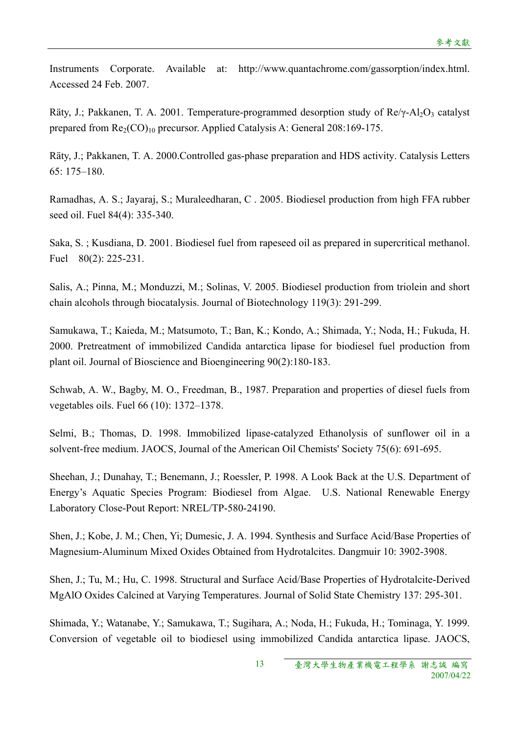Instruments Corporate. Available at: http://www.quantachrome.com/gassorption/index.html. Accessed 24 Feb. 2007.

Räty, J.; Pakkanen, T. A. 2001. Temperature-programmed desorption study of  $\text{Re}\gamma\text{-} \text{Al}_2\text{O}_3$  catalyst prepared from  $\text{Re}_2(\text{CO})_{10}$  precursor. Applied Catalysis A: General 208:169-175.

Räty, J.; Pakkanen, T. A. 2000.Controlled gas-phase preparation and HDS activity. Catalysis Letters 65: 175–180.

Ramadhas, A. S.; Jayaraj, S.; Muraleedharan, C . 2005. Biodiesel production from high FFA rubber seed oil. Fuel 84(4): 335-340.

Saka, S. ; Kusdiana, D. 2001. Biodiesel fuel from rapeseed oil as prepared in supercritical methanol. Fuel 80(2): 225-231.

Salis, A.; Pinna, M.; Monduzzi, M.; Solinas, V. 2005. Biodiesel production from triolein and short chain alcohols through biocatalysis. Journal of Biotechnology 119(3): 291-299.

Samukawa, T.; Kaieda, M.; Matsumoto, T.; Ban, K.; Kondo, A.; Shimada, Y.; Noda, H.; Fukuda, H. 2000. Pretreatment of immobilized Candida antarctica lipase for biodiesel fuel production from plant oil. Journal of Bioscience and Bioengineering 90(2):180-183.

Schwab, A. W., Bagby, M. O., Freedman, B., 1987. Preparation and properties of diesel fuels from vegetables oils. Fuel 66 (10): 1372–1378.

Selmi, B.; Thomas, D. 1998. Immobilized lipase-catalyzed Ethanolysis of sunflower oil in a solvent-free medium. JAOCS, Journal of the American Oil Chemists' Society 75(6): 691-695.

Sheehan, J.; Dunahay, T.; Benemann, J.; Roessler, P. 1998. A Look Back at the U.S. Department of Energy's Aquatic Species Program: Biodiesel from Algae. U.S. National Renewable Energy Laboratory Close-Pout Report: NREL/TP-580-24190.

Shen, J.; Kobe, J. M.; Chen, Yi; Dumesic, J. A. 1994. Synthesis and Surface Acid/Base Properties of Magnesium-Aluminum Mixed Oxides Obtained from Hydrotalcites. Dangmuir 10: 3902-3908.

Shen, J.; Tu, M.; Hu, C. 1998. Structural and Surface Acid/Base Properties of Hydrotalcite-Derived MgAlO Oxides Calcined at Varying Temperatures. Journal of Solid State Chemistry 137: 295-301.

Shimada, Y.; Watanabe, Y.; Samukawa, T.; Sugihara, A.; Noda, H.; Fukuda, H.; Tominaga, Y. 1999. Conversion of vegetable oil to biodiesel using immobilized Candida antarctica lipase. JAOCS,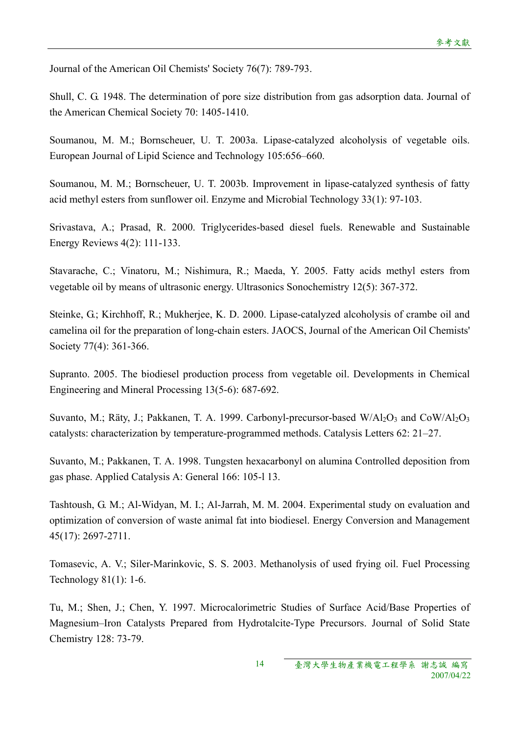Journal of the American Oil Chemists' Society 76(7): 789-793.

Shull, C. G. 1948. The determination of pore size distribution from gas adsorption data. Journal of the American Chemical Society 70: 1405-1410.

Soumanou, M. M.; Bornscheuer, U. T. 2003a. Lipase-catalyzed alcoholysis of vegetable oils. European Journal of Lipid Science and Technology 105:656–660.

Soumanou, M. M.; Bornscheuer, U. T. 2003b. Improvement in lipase-catalyzed synthesis of fatty acid methyl esters from sunflower oil. Enzyme and Microbial Technology 33(1): 97-103.

Srivastava, A.; Prasad, R. 2000. Triglycerides-based diesel fuels. Renewable and Sustainable Energy Reviews 4(2): 111-133.

Stavarache, C.; Vinatoru, M.; Nishimura, R.; Maeda, Y. 2005. Fatty acids methyl esters from vegetable oil by means of ultrasonic energy. Ultrasonics Sonochemistry 12(5): 367-372.

Steinke, G.; Kirchhoff, R.; Mukherjee, K. D. 2000. Lipase-catalyzed alcoholysis of crambe oil and camelina oil for the preparation of long-chain esters. JAOCS, Journal of the American Oil Chemists' Society 77(4): 361-366.

Supranto. 2005. The biodiesel production process from vegetable oil. Developments in Chemical Engineering and Mineral Processing 13(5-6): 687-692.

Suvanto, M.; Räty, J.; Pakkanen, T. A. 1999. Carbonyl-precursor-based  $W/Al_2O_3$  and  $CoW/Al_2O_3$ catalysts: characterization by temperature-programmed methods. Catalysis Letters 62: 21–27.

Suvanto, M.; Pakkanen, T. A. 1998. Tungsten hexacarbonyl on alumina Controlled deposition from gas phase. Applied Catalysis A: General 166: 105-l 13.

Tashtoush, G. M.; Al-Widyan, M. I.; Al-Jarrah, M. M. 2004. Experimental study on evaluation and optimization of conversion of waste animal fat into biodiesel. Energy Conversion and Management 45(17): 2697-2711.

Tomasevic, A. V.; Siler-Marinkovic, S. S. 2003. Methanolysis of used frying oil. Fuel Processing Technology 81(1): 1-6.

Tu, M.; Shen, J.; Chen, Y. 1997. Microcalorimetric Studies of Surface Acid/Base Properties of Magnesium–Iron Catalysts Prepared from Hydrotalcite-Type Precursors. Journal of Solid State Chemistry 128: 73-79.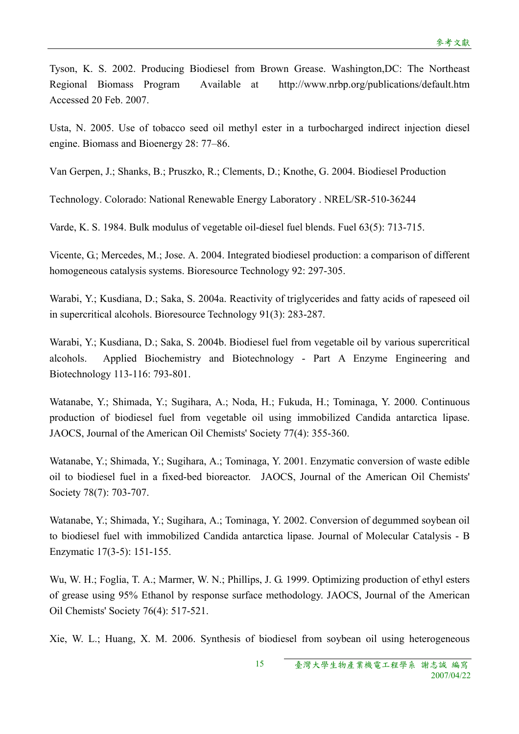Tyson, K. S. 2002. Producing Biodiesel from Brown Grease. Washington,DC: The Northeast Regional Biomass Program Available at http://www.nrbp.org/publications/default.htm Accessed 20 Feb. 2007.

Usta, N. 2005. Use of tobacco seed oil methyl ester in a turbocharged indirect injection diesel engine. Biomass and Bioenergy 28: 77–86.

Van Gerpen, J.; Shanks, B.; Pruszko, R.; Clements, D.; Knothe, G. 2004. Biodiesel Production

Technology. Colorado: National Renewable Energy Laboratory . NREL/SR-510-36244

Varde, K. S. 1984. Bulk modulus of vegetable oil-diesel fuel blends. Fuel 63(5): 713-715.

Vicente, G.; Mercedes, M.; Jose. A. 2004. Integrated biodiesel production: a comparison of different homogeneous catalysis systems. Bioresource Technology 92: 297-305.

Warabi, Y.; Kusdiana, D.; Saka, S. 2004a. Reactivity of triglycerides and fatty acids of rapeseed oil in supercritical alcohols. Bioresource Technology 91(3): 283-287.

Warabi, Y.; Kusdiana, D.; Saka, S. 2004b. Biodiesel fuel from vegetable oil by various supercritical alcohols. Applied Biochemistry and Biotechnology - Part A Enzyme Engineering and Biotechnology 113-116: 793-801.

Watanabe, Y.; Shimada, Y.; Sugihara, A.; Noda, H.; Fukuda, H.; Tominaga, Y. 2000. Continuous production of biodiesel fuel from vegetable oil using immobilized Candida antarctica lipase. JAOCS, Journal of the American Oil Chemists' Society 77(4): 355-360.

Watanabe, Y.; Shimada, Y.; Sugihara, A.; Tominaga, Y. 2001. Enzymatic conversion of waste edible oil to biodiesel fuel in a fixed-bed bioreactor. JAOCS, Journal of the American Oil Chemists' Society 78(7): 703-707.

Watanabe, Y.; Shimada, Y.; Sugihara, A.; Tominaga, Y. 2002. Conversion of degummed soybean oil to biodiesel fuel with immobilized Candida antarctica lipase. Journal of Molecular Catalysis - B Enzymatic 17(3-5): 151-155.

Wu, W. H.; Foglia, T. A.; Marmer, W. N.; Phillips, J. G. 1999. Optimizing production of ethyl esters of grease using 95% Ethanol by response surface methodology. JAOCS, Journal of the American Oil Chemists' Society 76(4): 517-521.

Xie, W. L.; Huang, X. M. 2006. Synthesis of biodiesel from soybean oil using heterogeneous